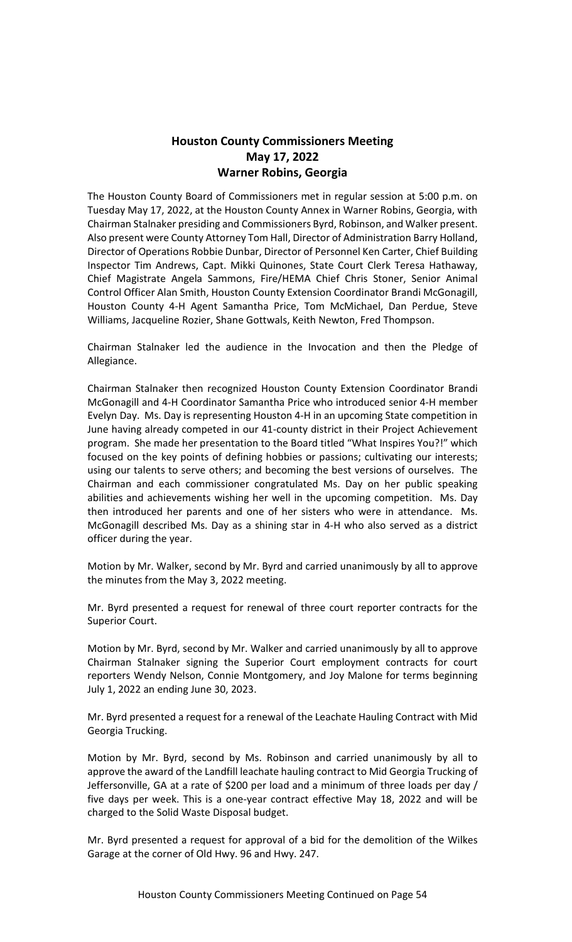# **Houston County Commissioners Meeting May 17, 2022 Warner Robins, Georgia**

The Houston County Board of Commissioners met in regular session at 5:00 p.m. on Tuesday May 17, 2022, at the Houston County Annex in Warner Robins, Georgia, with Chairman Stalnaker presiding and Commissioners Byrd, Robinson, and Walker present. Also present were County Attorney Tom Hall, Director of Administration Barry Holland, Director of Operations Robbie Dunbar, Director of Personnel Ken Carter, Chief Building Inspector Tim Andrews, Capt. Mikki Quinones, State Court Clerk Teresa Hathaway, Chief Magistrate Angela Sammons, Fire/HEMA Chief Chris Stoner, Senior Animal Control Officer Alan Smith, Houston County Extension Coordinator Brandi McGonagill, Houston County 4-H Agent Samantha Price, Tom McMichael, Dan Perdue, Steve Williams, Jacqueline Rozier, Shane Gottwals, Keith Newton, Fred Thompson.

Chairman Stalnaker led the audience in the Invocation and then the Pledge of Allegiance.

Chairman Stalnaker then recognized Houston County Extension Coordinator Brandi McGonagill and 4-H Coordinator Samantha Price who introduced senior 4-H member Evelyn Day. Ms. Day is representing Houston 4-H in an upcoming State competition in June having already competed in our 41-county district in their Project Achievement program. She made her presentation to the Board titled "What Inspires You?!" which focused on the key points of defining hobbies or passions; cultivating our interests; using our talents to serve others; and becoming the best versions of ourselves. The Chairman and each commissioner congratulated Ms. Day on her public speaking abilities and achievements wishing her well in the upcoming competition. Ms. Day then introduced her parents and one of her sisters who were in attendance. Ms. McGonagill described Ms. Day as a shining star in 4-H who also served as a district officer during the year.

Motion by Mr. Walker, second by Mr. Byrd and carried unanimously by all to approve the minutes from the May 3, 2022 meeting.

Mr. Byrd presented a request for renewal of three court reporter contracts for the Superior Court.

Motion by Mr. Byrd, second by Mr. Walker and carried unanimously by all to approve Chairman Stalnaker signing the Superior Court employment contracts for court reporters Wendy Nelson, Connie Montgomery, and Joy Malone for terms beginning July 1, 2022 an ending June 30, 2023.

Mr. Byrd presented a request for a renewal of the Leachate Hauling Contract with Mid Georgia Trucking.

Motion by Mr. Byrd, second by Ms. Robinson and carried unanimously by all to approve the award of the Landfill leachate hauling contract to Mid Georgia Trucking of Jeffersonville, GA at a rate of \$200 per load and a minimum of three loads per day / five days per week. This is a one-year contract effective May 18, 2022 and will be charged to the Solid Waste Disposal budget.

Mr. Byrd presented a request for approval of a bid for the demolition of the Wilkes Garage at the corner of Old Hwy. 96 and Hwy. 247.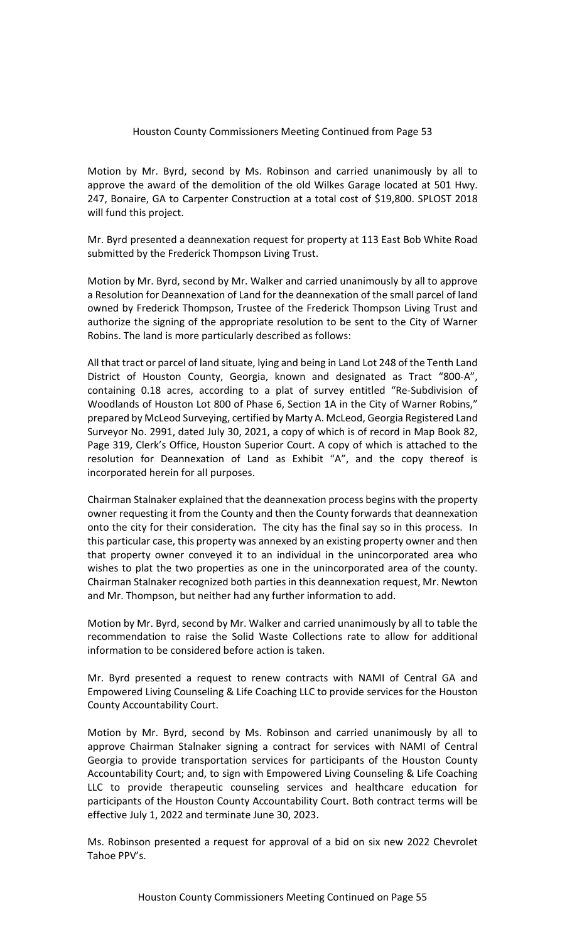Motion by Mr. Byrd, second by Ms. Robinson and carried unanimously by all to approve the award of the demolition of the old Wilkes Garage located at 501 Hwy. 247, Bonaire, GA to Carpenter Construction at a total cost of \$19,800. SPLOST 2018 will fund this project.

Mr. Byrd presented a deannexation request for property at 113 East Bob White Road submitted by the Frederick Thompson Living Trust.

Motion by Mr. Byrd, second by Mr. Walker and carried unanimously by all to approve a Resolution for Deannexation of Land for the deannexation of the small parcel of land owned by Frederick Thompson, Trustee of the Frederick Thompson Living Trust and authorize the signing of the appropriate resolution to be sent to the City of Warner Robins. The land is more particularly described as follows:

All that tract or parcel of land situate, lying and being in Land Lot 248 of the Tenth Land District of Houston County, Georgia, known and designated as Tract "800-A", containing 0.18 acres, according to a plat of survey entitled "Re-Subdivision of Woodlands of Houston Lot 800 of Phase 6, Section 1A in the City of Warner Robins," prepared by McLeod Surveying, certified by Marty A. McLeod, Georgia Registered Land Surveyor No. 2991, dated July 30, 2021, a copy of which is of record in Map Book 82, Page 319, Clerk's Office, Houston Superior Court. A copy of which is attached to the resolution for Deannexation of Land as Exhibit "A", and the copy thereof is incorporated herein for all purposes.

Chairman Stalnaker explained that the deannexation process begins with the property owner requesting it from the County and then the County forwards that deannexation onto the city for their consideration. The city has the final say so in this process. In this particular case, this property was annexed by an existing property owner and then that property owner conveyed it to an individual in the unincorporated area who wishes to plat the two properties as one in the unincorporated area of the county. Chairman Stalnaker recognized both parties in this deannexation request, Mr. Newton and Mr. Thompson, but neither had any further information to add.

Motion by Mr. Byrd, second by Mr. Walker and carried unanimously by all to table the recommendation to raise the Solid Waste Collections rate to allow for additional information to be considered before action is taken.

Mr. Byrd presented a request to renew contracts with NAMI of Central GA and Empowered Living Counseling & Life Coaching LLC to provide services for the Houston County Accountability Court.

Motion by Mr. Byrd, second by Ms. Robinson and carried unanimously by all to approve Chairman Stalnaker signing a contract for services with NAMI of Central Georgia to provide transportation services for participants of the Houston County Accountability Court; and, to sign with Empowered Living Counseling & Life Coaching LLC to provide therapeutic counseling services and healthcare education for participants of the Houston County Accountability Court. Both contract terms will be effective July 1, 2022 and terminate June 30, 2023.

Ms. Robinson presented a request for approval of a bid on six new 2022 Chevrolet Tahoe PPV's.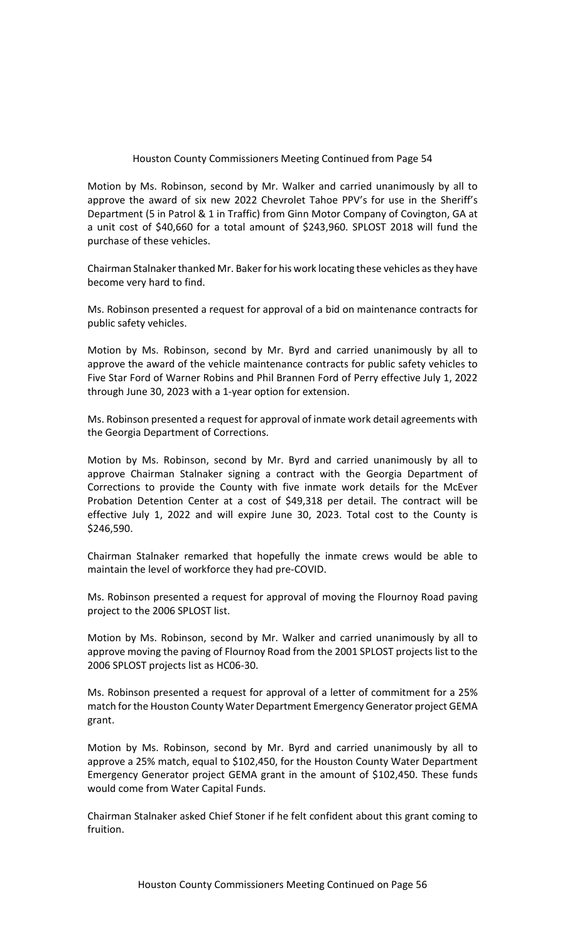Motion by Ms. Robinson, second by Mr. Walker and carried unanimously by all to approve the award of six new 2022 Chevrolet Tahoe PPV's for use in the Sheriff's Department (5 in Patrol & 1 in Traffic) from Ginn Motor Company of Covington, GA at a unit cost of \$40,660 for a total amount of \$243,960. SPLOST 2018 will fund the purchase of these vehicles.

Chairman Stalnaker thanked Mr. Baker for his work locating these vehicles as they have become very hard to find.

Ms. Robinson presented a request for approval of a bid on maintenance contracts for public safety vehicles.

Motion by Ms. Robinson, second by Mr. Byrd and carried unanimously by all to approve the award of the vehicle maintenance contracts for public safety vehicles to Five Star Ford of Warner Robins and Phil Brannen Ford of Perry effective July 1, 2022 through June 30, 2023 with a 1-year option for extension.

Ms. Robinson presented a request for approval of inmate work detail agreements with the Georgia Department of Corrections.

Motion by Ms. Robinson, second by Mr. Byrd and carried unanimously by all to approve Chairman Stalnaker signing a contract with the Georgia Department of Corrections to provide the County with five inmate work details for the McEver Probation Detention Center at a cost of \$49,318 per detail. The contract will be effective July 1, 2022 and will expire June 30, 2023. Total cost to the County is \$246,590.

Chairman Stalnaker remarked that hopefully the inmate crews would be able to maintain the level of workforce they had pre-COVID.

Ms. Robinson presented a request for approval of moving the Flournoy Road paving project to the 2006 SPLOST list.

Motion by Ms. Robinson, second by Mr. Walker and carried unanimously by all to approve moving the paving of Flournoy Road from the 2001 SPLOST projects list to the 2006 SPLOST projects list as HC06-30.

Ms. Robinson presented a request for approval of a letter of commitment for a 25% match for the Houston County Water Department Emergency Generator project GEMA grant.

Motion by Ms. Robinson, second by Mr. Byrd and carried unanimously by all to approve a 25% match, equal to \$102,450, for the Houston County Water Department Emergency Generator project GEMA grant in the amount of \$102,450. These funds would come from Water Capital Funds.

Chairman Stalnaker asked Chief Stoner if he felt confident about this grant coming to fruition.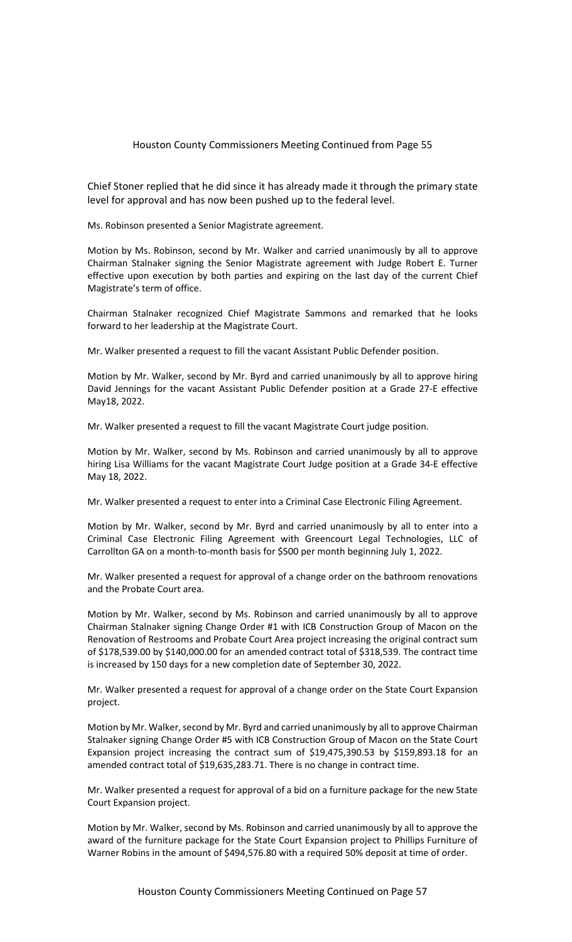Chief Stoner replied that he did since it has already made it through the primary state level for approval and has now been pushed up to the federal level.

Ms. Robinson presented a Senior Magistrate agreement.

Motion by Ms. Robinson, second by Mr. Walker and carried unanimously by all to approve Chairman Stalnaker signing the Senior Magistrate agreement with Judge Robert E. Turner effective upon execution by both parties and expiring on the last day of the current Chief Magistrate's term of office.

Chairman Stalnaker recognized Chief Magistrate Sammons and remarked that he looks forward to her leadership at the Magistrate Court.

Mr. Walker presented a request to fill the vacant Assistant Public Defender position.

Motion by Mr. Walker, second by Mr. Byrd and carried unanimously by all to approve hiring David Jennings for the vacant Assistant Public Defender position at a Grade 27-E effective May18, 2022.

Mr. Walker presented a request to fill the vacant Magistrate Court judge position.

Motion by Mr. Walker, second by Ms. Robinson and carried unanimously by all to approve hiring Lisa Williams for the vacant Magistrate Court Judge position at a Grade 34-E effective May 18, 2022.

Mr. Walker presented a request to enter into a Criminal Case Electronic Filing Agreement.

Motion by Mr. Walker, second by Mr. Byrd and carried unanimously by all to enter into a Criminal Case Electronic Filing Agreement with Greencourt Legal Technologies, LLC of Carrollton GA on a month-to-month basis for \$500 per month beginning July 1, 2022.

Mr. Walker presented a request for approval of a change order on the bathroom renovations and the Probate Court area.

Motion by Mr. Walker, second by Ms. Robinson and carried unanimously by all to approve Chairman Stalnaker signing Change Order #1 with ICB Construction Group of Macon on the Renovation of Restrooms and Probate Court Area project increasing the original contract sum of \$178,539.00 by \$140,000.00 for an amended contract total of \$318,539. The contract time is increased by 150 days for a new completion date of September 30, 2022.

Mr. Walker presented a request for approval of a change order on the State Court Expansion project.

Motion by Mr. Walker, second by Mr. Byrd and carried unanimously by all to approve Chairman Stalnaker signing Change Order #5 with ICB Construction Group of Macon on the State Court Expansion project increasing the contract sum of \$19,475,390.53 by \$159,893.18 for an amended contract total of \$19,635,283.71. There is no change in contract time.

Mr. Walker presented a request for approval of a bid on a furniture package for the new State Court Expansion project.

Motion by Mr. Walker, second by Ms. Robinson and carried unanimously by all to approve the award of the furniture package for the State Court Expansion project to Phillips Furniture of Warner Robins in the amount of \$494,576.80 with a required 50% deposit at time of order.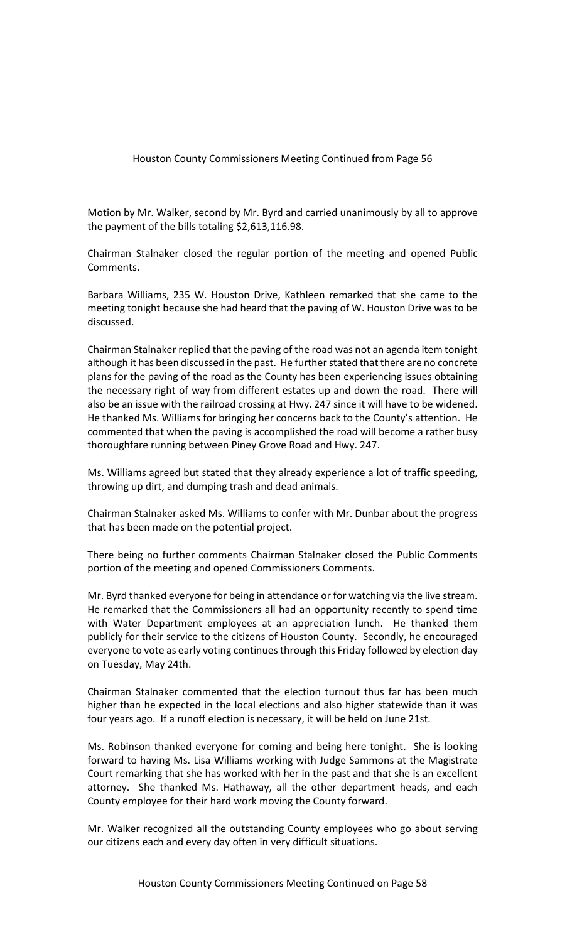Motion by Mr. Walker, second by Mr. Byrd and carried unanimously by all to approve the payment of the bills totaling \$2,613,116.98.

Chairman Stalnaker closed the regular portion of the meeting and opened Public Comments.

Barbara Williams, 235 W. Houston Drive, Kathleen remarked that she came to the meeting tonight because she had heard that the paving of W. Houston Drive was to be discussed.

Chairman Stalnaker replied that the paving of the road was not an agenda item tonight although it has been discussed in the past. He further stated that there are no concrete plans for the paving of the road as the County has been experiencing issues obtaining the necessary right of way from different estates up and down the road. There will also be an issue with the railroad crossing at Hwy. 247 since it will have to be widened. He thanked Ms. Williams for bringing her concerns back to the County's attention. He commented that when the paving is accomplished the road will become a rather busy thoroughfare running between Piney Grove Road and Hwy. 247.

Ms. Williams agreed but stated that they already experience a lot of traffic speeding, throwing up dirt, and dumping trash and dead animals.

Chairman Stalnaker asked Ms. Williams to confer with Mr. Dunbar about the progress that has been made on the potential project.

There being no further comments Chairman Stalnaker closed the Public Comments portion of the meeting and opened Commissioners Comments.

Mr. Byrd thanked everyone for being in attendance or for watching via the live stream. He remarked that the Commissioners all had an opportunity recently to spend time with Water Department employees at an appreciation lunch. He thanked them publicly for their service to the citizens of Houston County. Secondly, he encouraged everyone to vote as early voting continues through this Friday followed by election day on Tuesday, May 24th.

Chairman Stalnaker commented that the election turnout thus far has been much higher than he expected in the local elections and also higher statewide than it was four years ago. If a runoff election is necessary, it will be held on June 21st.

Ms. Robinson thanked everyone for coming and being here tonight. She is looking forward to having Ms. Lisa Williams working with Judge Sammons at the Magistrate Court remarking that she has worked with her in the past and that she is an excellent attorney. She thanked Ms. Hathaway, all the other department heads, and each County employee for their hard work moving the County forward.

Mr. Walker recognized all the outstanding County employees who go about serving our citizens each and every day often in very difficult situations.